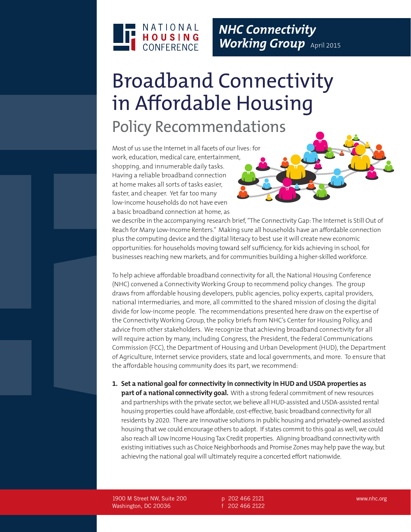

## Broadband Connectivity in Affordable Housing Policy Recommendations

Most of us use the Internet in all facets of our lives: for work, education, medical care, entertainment, shopping, and innumerable daily tasks. Having a reliable broadband connection at home makes all sorts of tasks easier, faster, and cheaper. Yet far too many low-income households do not have even a basic broadband connection at home, as

we describe in the accompanying research brief, "The Connectivity Gap: The Internet is Still Out of Reach for Many Low-Income Renters." Making sure all households have an affordable connection plus the computing device and the digital literacy to best use it will create new economic opportunities: for households moving toward self sufficiency, for kids achieving in school, for businesses reaching new markets, and for communities building a higher-skilled workforce.

To help achieve affordable broadband connectivity for all, the National Housing Conference (NHC) convened a Connectivity Working Group to recommend policy changes. The group draws from affordable housing developers, public agencies, policy experts, capital providers, national intermediaries, and more, all committed to the shared mission of closing the digital divide for low-income people. The recommendations presented here draw on the expertise of the Connectivity Working Group, the policy briefs from NHC's Center for Housing Policy, and advice from other stakeholders. We recognize that achieving broadband connectivity for all will require action by many, including Congress, the President, the Federal Communications Commission (FCC), the Department of Housing and Urban Development (HUD), the Department of Agriculture, Internet service providers, state and local governments, and more. To ensure that the affordable housing community does its part, we recommend:

## **1. Set a national goal for connectivity in connectivity in HUD and USDA properties as**

**part of a national connectivity goal.** With a strong federal commitment of new resources and partnerships with the private sector, we believe all HUD-assisted and USDA-assisted rental housing properties could have affordable, cost-effective, basic broadband connectivity for all residents by 2020. There are innovative solutions in public housing and privately-owned assisted housing that we could encourage others to adopt. If states commit to this goal as well, we could also reach all Low Income Housing Tax Credit properties. Aligning broadband connectivity with existing initiatives such as Choice Neighborhoods and Promise Zones may help pave the way, but achieving the national goal will ultimately require a concerted effort nationwide.

1900 M Street NW, Suite 200 Washington, DC 20036

p 202 466 2121 f 202 466 2122